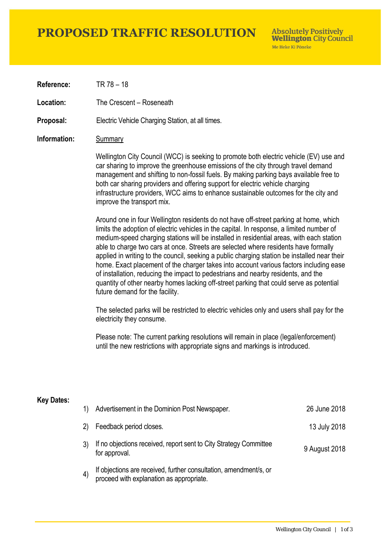# **PROPOSED TRAFFIC RESOLUTION**

**Absolutely Positively Wellington City Council** Me Heke Ki Pôneke

**Reference:** TR 78 – 18

Location: The Crescent – Roseneath

**Proposal:** Electric Vehicle Charging Station, at all times.

### **Information:** Summary

Wellington City Council (WCC) is seeking to promote both electric vehicle (EV) use and car sharing to improve the greenhouse emissions of the city through travel demand management and shifting to non-fossil fuels. By making parking bays available free to both car sharing providers and offering support for electric vehicle charging infrastructure providers, WCC aims to enhance sustainable outcomes for the city and improve the transport mix.

Around one in four Wellington residents do not have off-street parking at home, which limits the adoption of electric vehicles in the capital. In response, a limited number of medium-speed charging stations will be installed in residential areas, with each station able to charge two cars at once. Streets are selected where residents have formally applied in writing to the council, seeking a public charging station be installed near their home. Exact placement of the charger takes into account various factors including ease of installation, reducing the impact to pedestrians and nearby residents, and the quantity of other nearby homes lacking off-street parking that could serve as potential future demand for the facility.

The selected parks will be restricted to electric vehicles only and users shall pay for the electricity they consume.

Please note: The current parking resolutions will remain in place (legal/enforcement) until the new restrictions with appropriate signs and markings is introduced.

### **Key Dates:**

| 1)                | Advertisement in the Dominion Post Newspaper.                                                                 | 26 June 2018  |
|-------------------|---------------------------------------------------------------------------------------------------------------|---------------|
| (2)               | Feedback period closes.                                                                                       | 13 July 2018  |
|                   | If no objections received, report sent to City Strategy Committee<br>for approval.                            | 9 August 2018 |
| $\left( 4\right)$ | If objections are received, further consultation, amendment/s, or<br>proceed with explanation as appropriate. |               |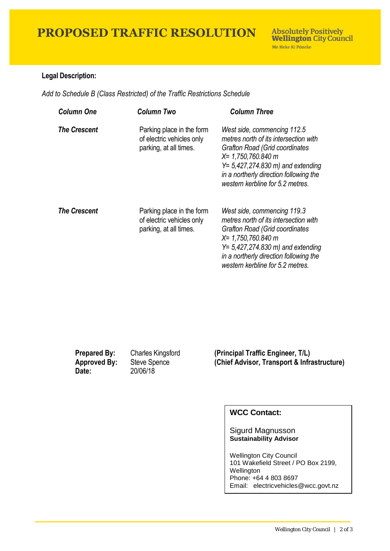### **Legal Description:**

*Add to Schedule B (Class Restricted) of the Traffic Restrictions Schedule* 

| <b>Column One</b>   | Column Two                                                                       | <b>Column Three</b>                                                                                                                                                                                                                                                  |
|---------------------|----------------------------------------------------------------------------------|----------------------------------------------------------------------------------------------------------------------------------------------------------------------------------------------------------------------------------------------------------------------|
| <b>The Crescent</b> | Parking place in the form<br>of electric vehicles only<br>parking, at all times. | West side, commencing 112.5<br>metres north of its intersection with<br><b>Grafton Road (Grid coordinates)</b><br>$X = 1,750,760.840$ m<br>$Y = 5,427,274.830 \text{ m}$ and extending<br>in a northerly direction following the<br>western kerbline for 5.2 metres. |
| <b>The Crescent</b> | Parking place in the form<br>of electric vehicles only<br>parking, at all times. | West side, commencing 119.3<br>metres north of its intersection with<br><b>Grafton Road (Grid coordinates)</b><br>$X = 1,750,760.840$ m<br>$Y = 5,427,274.830 \text{ m}$ and extending<br>in a northerly direction following the<br>western kerbline for 5.2 metres. |

| <b>Prepared By:</b><br><b>Approved By:</b><br>Date: | <b>Charles Kingsford</b><br>Steve Spence<br>20/06/18 | (Principal Traffic Engineer, T/L)<br>(Chief Advisor, Transport & Infrastructure) |
|-----------------------------------------------------|------------------------------------------------------|----------------------------------------------------------------------------------|
|                                                     |                                                      |                                                                                  |

## **WCC Contact:**

### Sigurd Magnusson **Sustainability Advisor**

Wellington City Council 101 Wakefield Street / PO Box 2199, Wellington Phone: +64 4 803 8697 Email: electricvehicles@wcc.govt.nz